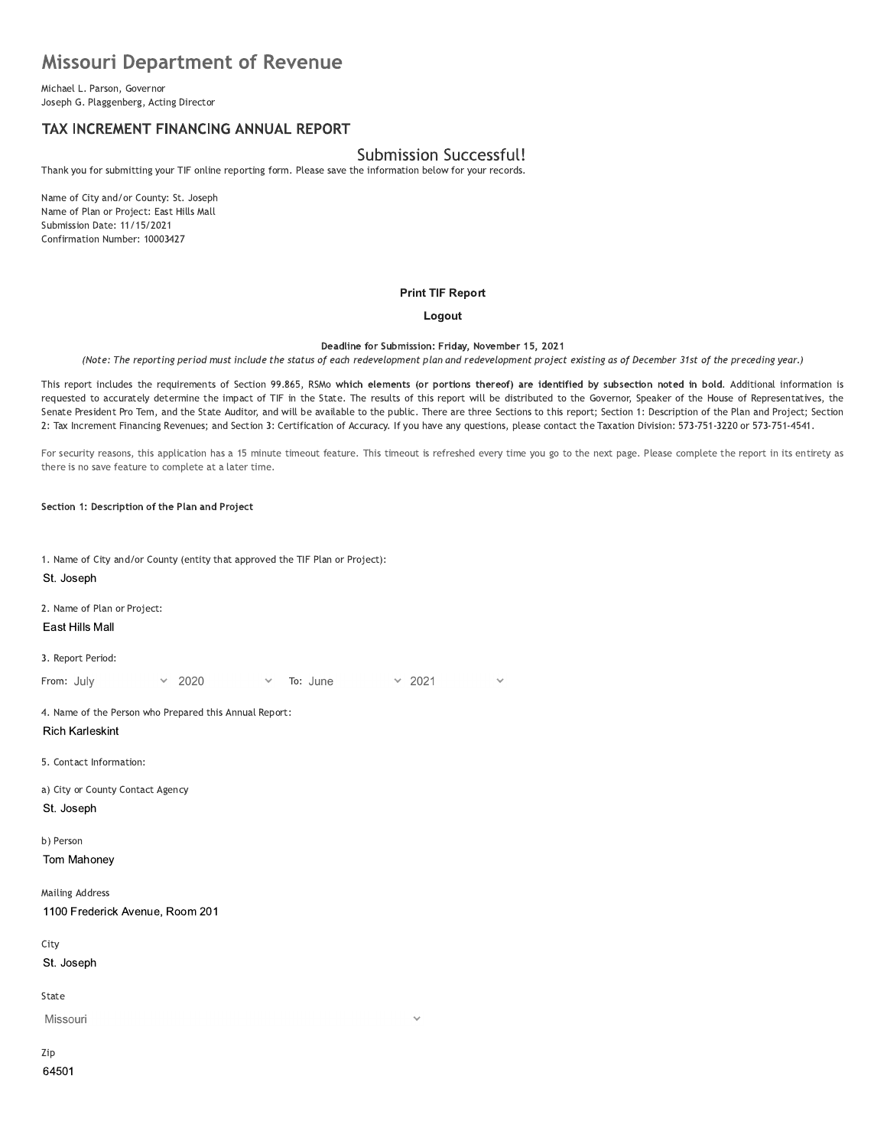# **Missouri Department of Revenue**

Michael L. Parson, Governor Joseph G. Plaggenberg, Acting Director

# TAX INCREMENT FINANCING ANNUAL REPORT

## **Submission Successful!**

Thank you for submitting your TIF online reporting form. Please save the information below for your records.

Name of City and/or County: St. Joseph Name of Plan or Project: East Hills Mall Submission Date: 11/15/2021 Confirmation Number: 10003427

#### **Print TIF Report**

#### Logout

Deadline for Submission: Friday, November 15, 2021

(Note: The reporting period must include the status of each redevelopment plan and redevelopment project existing as of December 31st of the preceding year.)

This report includes the requirements of Section 99.865, RSMo which elements (or portions thereof) are identified by subsection noted in bold. Additional information is requested to accurately determine the impact of TIF in the State. The results of this report will be distributed to the Governor, Speaker of the House of Representatives, the Senate President Pro Tem, and the State Auditor, and will be available to the public. There are three Sections to this report; Section 1: Description of the Plan and Project; Section 2: Tax Increment Financing Revenues; and Section 3: Certification of Accuracy. If you have any questions, please contact the Taxation Division: 573-751-3220 or 573-751-4541.

For security reasons, this application has a 15 minute timeout feature. This timeout is refreshed every time you go to the next page. Please complete the report in its entirety as there is no save feature to complete at a later time.

 $\times$  2021

 $\ddot{\phantom{0}}$ 

Section 1: Description of the Plan and Project

1. Name of City and/or County (entity that approved the TIF Plan or Project):

To: June

St. Joseph

2. Name of Plan or Project:

East Hills Mall

3. Report Period:

From: July 2020

4. Name of the Person who Prepared this Annual Report: **Rich Karleskint** 

5. Contact Information:

a) City or County Contact Agency St. Joseph

b) Person

Tom Mahoney

**Mailing Address** 1100 Frederick Avenue, Room 201

City

St. Joseph

State

Missouri

Zip 64501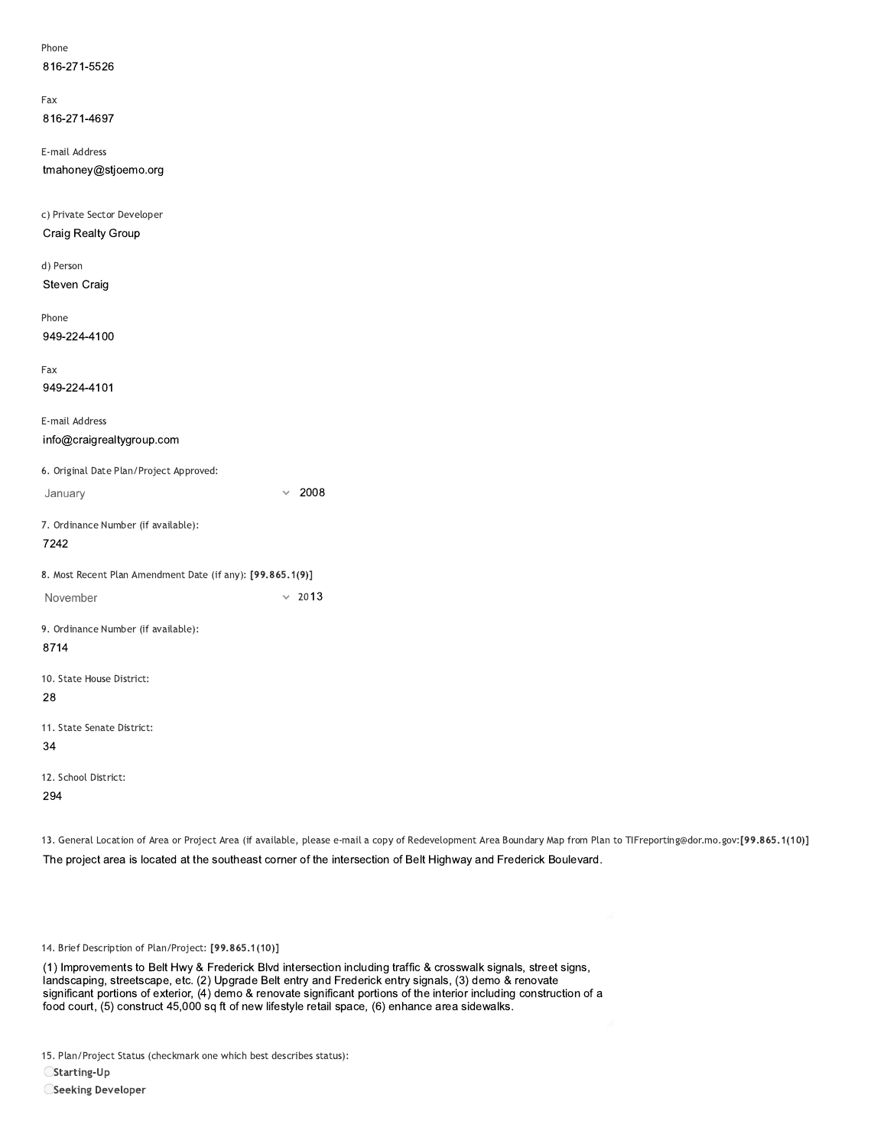| Phone<br>816-271-5526                                      |                                                                                                                                                     |  |
|------------------------------------------------------------|-----------------------------------------------------------------------------------------------------------------------------------------------------|--|
|                                                            |                                                                                                                                                     |  |
| Fax                                                        |                                                                                                                                                     |  |
| 816-271-4697                                               |                                                                                                                                                     |  |
| E-mail Address                                             |                                                                                                                                                     |  |
| tmahoney@stjoemo.org                                       |                                                                                                                                                     |  |
| c) Private Sector Developer                                |                                                                                                                                                     |  |
| Craig Realty Group                                         |                                                                                                                                                     |  |
| d) Person                                                  |                                                                                                                                                     |  |
| Steven Craig                                               |                                                                                                                                                     |  |
| Phone                                                      |                                                                                                                                                     |  |
| 949-224-4100                                               |                                                                                                                                                     |  |
| Fax                                                        |                                                                                                                                                     |  |
| 949-224-4101                                               |                                                                                                                                                     |  |
| E-mail Address                                             |                                                                                                                                                     |  |
| info@craigrealtygroup.com                                  |                                                                                                                                                     |  |
| 6. Original Date Plan/Project Approved:                    |                                                                                                                                                     |  |
| January                                                    | 2008<br>$\checkmark$                                                                                                                                |  |
| 7. Ordinance Number (if available):                        |                                                                                                                                                     |  |
| 7242                                                       |                                                                                                                                                     |  |
| 8. Most Recent Plan Amendment Date (if any): [99.865.1(9)] |                                                                                                                                                     |  |
| November                                                   | $\times$ 2013                                                                                                                                       |  |
| 9. Ordinance Number (if available):                        |                                                                                                                                                     |  |
| 8714                                                       |                                                                                                                                                     |  |
| 10. State House District:                                  |                                                                                                                                                     |  |
| 28                                                         |                                                                                                                                                     |  |
| 11. State Senate District:                                 |                                                                                                                                                     |  |
| 34                                                         |                                                                                                                                                     |  |
| 12. School District:                                       |                                                                                                                                                     |  |
| 294                                                        |                                                                                                                                                     |  |
|                                                            | 13. General Location of Area or Project Area (if available, please e-mail a copy of Redevelopment Area Boundary Map from Plan to TIFreporting@dor.m |  |
|                                                            | The project area is located at the southeast corner of the intersection of Belt Highway and Frederick Boulevard.                                    |  |
|                                                            |                                                                                                                                                     |  |
|                                                            |                                                                                                                                                     |  |
| 14. Brief Description of Plan/Project: [99.865.1(10)]      |                                                                                                                                                     |  |
|                                                            | (1) Improvements to Belt Hwy & Frederick Blvd intersection including traffic & crosswalk signals, street signs,                                     |  |

13. General Location of Area or Project Area (if available, please e-mail a copy of Redevelopment Area Boundary Map from Plan to TIFreporting@dor.mo.gov:[99.865.1(10)]

(1) Improvements to Belt Hwy & Frederick Blvd intersection including traffic & crosswalk signals, street signs, 14. Brief Description of Plan/Project: [99.865.1(10)]<br>
(1) Improvements to Bell Hwy & Frederick Blvd intersection including traffic & crosswalk signals, street site<br>
landscaping, streetscape, etc. (2) Upgrade Bell entry an  ${\rm significant~portions~or~exterior,~(4)}$  demo $\,\kappa\,$  renovate significant portions of the interior including construction of a 14. Brief Description of Plan/Project: [99.865.1(10)]<br>(1) Improvements to Belt Hwy & Frederick Blvd intersection including traffic & crosswalk signals, street signs,<br>landscaping, streetscape, etc. (2) Upgrade Belt entry an

15. Plan/Project Status (checkmark one which best describes status):

 $C$ Starting-Up

Seeking Developer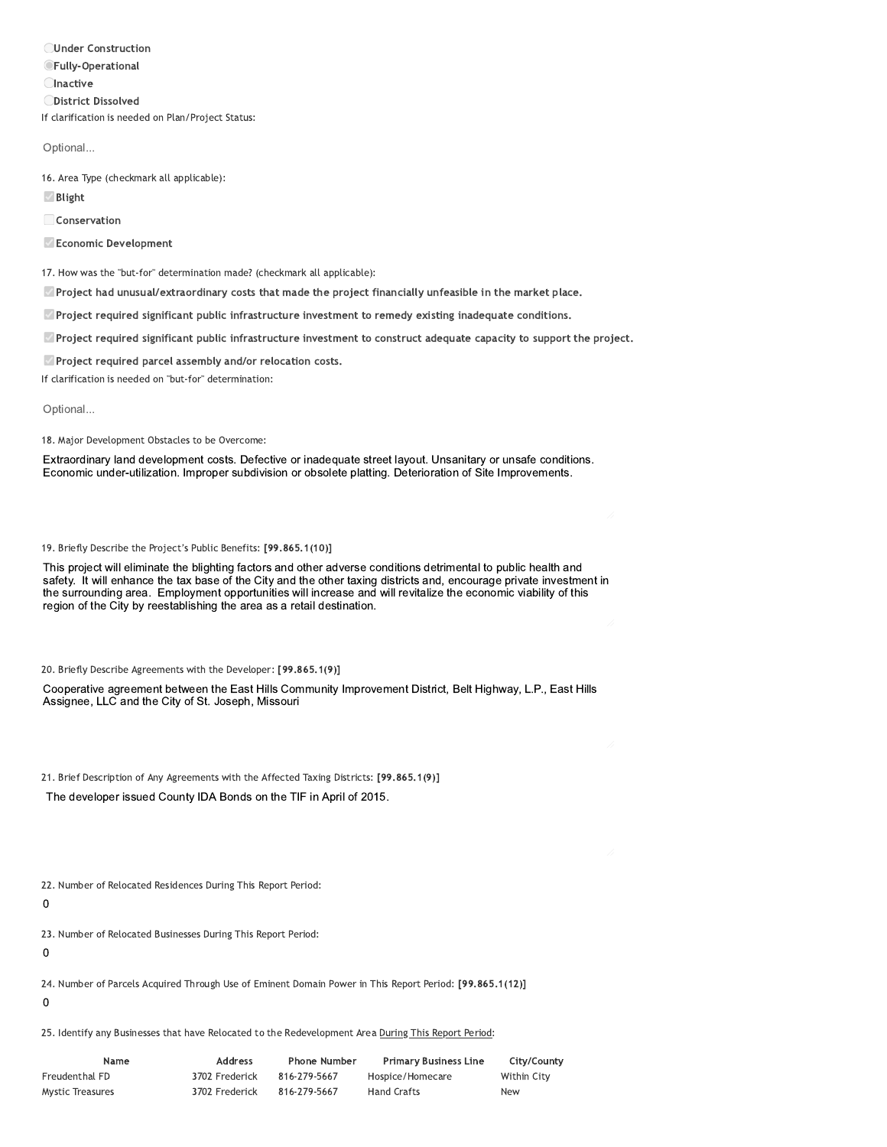**OUnder Construction OFully-Operational CInactive ODistrict Dissolved** If clarification is needed on Plan/Project Status:

Optional...

16. Area Type (checkmark all applicable):

Blight

Conservation

Economic Development

17. How was the "but-for" determination made? (checkmark all applicable):

Project had unusual/extraordinary costs that made the project financially unfeasible in the market place.

Project required significant public infrastructure investment to remedy existing inadequate conditions.

Project required significant public infrastructure investment to construct adequate capacity to support the project.

Project required parcel assembly and/or relocation costs.

If clarification is needed on "but-for" determination:

Optional...

18. Major Development Obstacles to be Overcome:

Extraordinary land development costs. Defective or inadequate street layout. Unsanitary or unsafe conditions. Economic under-utilization. Improper subdivision or obsolete platting. Deterioration of Site Improvements.

19. Briefly Describe the Project's Public Benefits: [99.865.1(10)]

This project will eliminate the blighting factors and other adverse conditions detrimental to public health and safety. It will enhance the tax base of the City and the other taxing districts and, encourage private investment in the surrounding area. Employment opportunities will increase and will revitalize the economic viability of this region of the City by reestablishing the area as a retail destination.

20. Briefly Describe Agreements with the Developer: [99.865.1(9)]

Cooperative agreement between the East Hills Community Improvement District, Belt Highway, L.P., East Hills Assignee, LLC and the City of St. Joseph, Missouri

21. Brief Description of Any Agreements with the Affected Taxing Districts: [99.865.1(9)]

The developer issued County IDA Bonds on the TIF in April of 2015.

22. Number of Relocated Residences During This Report Period:

 $\mathbf 0$ 

23. Number of Relocated Businesses During This Report Period:

 $\mathbf 0$ 

24. Number of Parcels Acquired Through Use of Eminent Domain Power in This Report Period: [99.865.1(12)]

 $\mathbf 0$ 

25. Identify any Businesses that have Relocated to the Redevelopment Area During This Report Period:

| Name             | Address        | <b>Phone Number</b> | <b>Primary Business Line</b> | City/County |
|------------------|----------------|---------------------|------------------------------|-------------|
| Freudenthal FD   | 3702 Frederick | 816-279-5667        | Hospice/Homecare             | Within City |
| Mystic Treasures | 3702 Frederick | 816-279-5667        | <b>Hand Crafts</b>           | <b>New</b>  |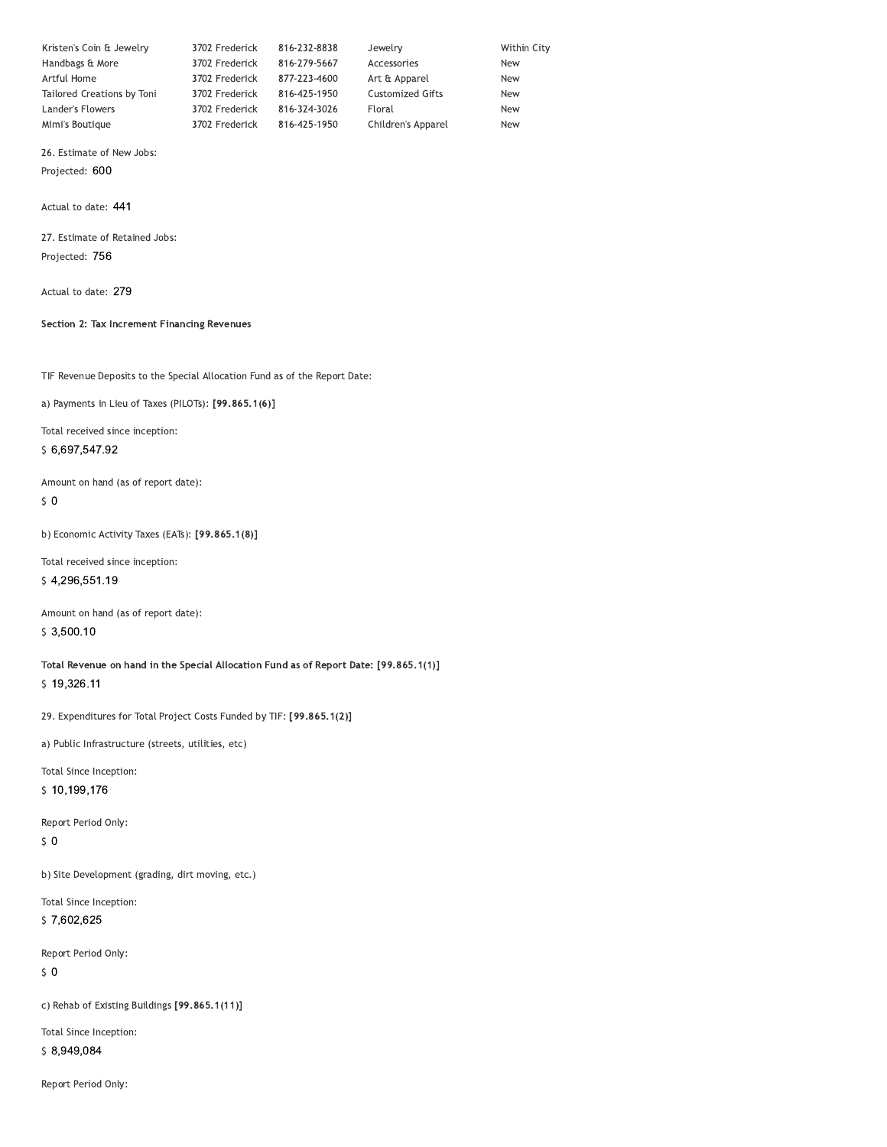| Kristen's Coin & Jewelry   | 3702 Frederick | 816-232-8838 | Jewelry                 | Within City |
|----------------------------|----------------|--------------|-------------------------|-------------|
| Handbags & More            | 3702 Frederick | 816-279-5667 | Accessories             | <b>New</b>  |
| Artful Home                | 3702 Frederick | 877-223-4600 | Art & Apparel           | <b>New</b>  |
| Tailored Creations by Toni | 3702 Frederick | 816-425-1950 | <b>Customized Gifts</b> | <b>New</b>  |
| Lander's Flowers           | 3702 Frederick | 816-324-3026 | Floral                  | <b>New</b>  |
| Mimi's Boutique            | 3702 Frederick | 816-425-1950 | Children's Apparel      | <b>New</b>  |

26. Estimate of New Jobs:

Projected: 600

Actual to date: 441

27. Estimate of Retained Jobs: Projected: 756

Actual to date: 279

#### Section 2: Tax Increment Financing Revenues

TIF Revenue Deposits to the Special Allocation Fund as of the Report Date:

a) Payments in Lieu of Taxes (PILOTs): [99.865.1(6)]

Total received since inception: \$6,697,547.92

Amount on hand (as of report date):

 $\sqrt{5}$  O

b) Economic Activity Taxes (EATs): [99.865.1(8)]

Total received since inception: \$4,296,551.19

Amount on hand (as of report date):  $$3,500.10$ 

Total Revenue on hand in the Special Allocation Fund as of Report Date: [99.865.1(1)] \$19,326.11

29. Expenditures for Total Project Costs Funded by TIF: [99.865.1(2)]

a) Public Infrastructure (streets, utilities, etc)

Total Since Inception:

\$10,199,176

Report Period Only:

 $\sqrt{5}$  O

b) Site Development (grading, dirt moving, etc.)

Total Since Inception:

\$7,602,625

Report Period Only:  $\zeta$  0

c) Rehab of Existing Buildings [99.865.1(11)]

Total Since Inception: \$8,949,084

Report Period Only: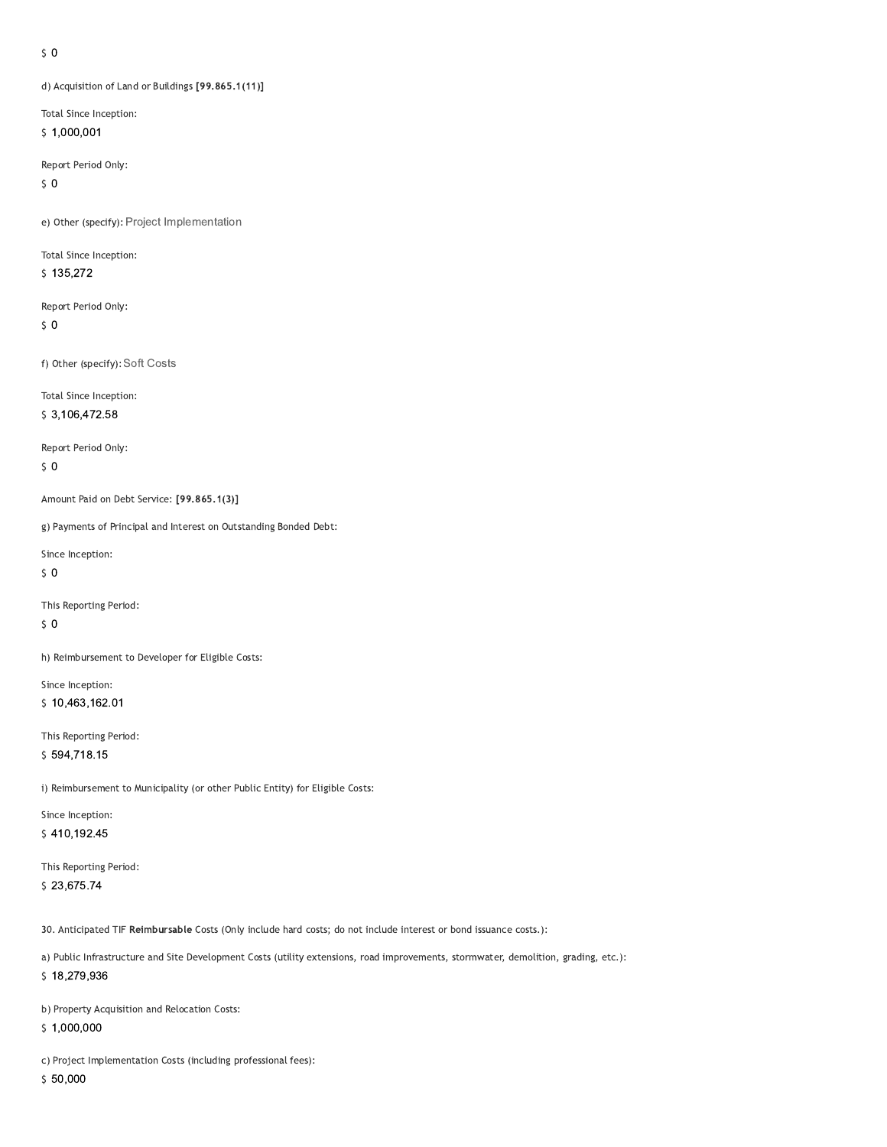#### $\sqrt{5}$  O

d) Acquisition of Land or Buildings [99.865.1(11)]

Total Since Inception:

 $$1,000,001$ 

Report Period Only:

 $50$ 

e) Other (specify): Project Implementation

Total Since Inception:  $$135,272$ 

Report Period Only:  $50$ 

f) Other (specify): Soft Costs

Total Since Inception:

\$3,106,472.58

Report Period Only:

 $\sqrt{5}$  0

Amount Paid on Debt Service: [99.865.1(3)]

g) Payments of Principal and Interest on Outstanding Bonded Debt:

Since Inception:

 $50$ 

This Reporting Period:

 $\sqrt{5}$  O

h) Reimbursement to Developer for Eligible Costs:

Since Inception: \$10,463,162.01

This Reporting Period: \$594,718.15

i) Reimbursement to Municipality (or other Public Entity) for Eligible Costs:

Since Inception: \$410,192.45

This Reporting Period: \$23,675.74

30. Anticipated TIF Reimbursable Costs (Only include hard costs; do not include interest or bond issuance costs.):

a) Public Infrastructure and Site Development Costs (utility extensions, road improvements, stormwater, demolition, grading, etc.): \$18,279,936

b) Property Acquisition and Relocation Costs:

 $$1,000,000$ 

c) Project Implementation Costs (including professional fees):

 $$50,000$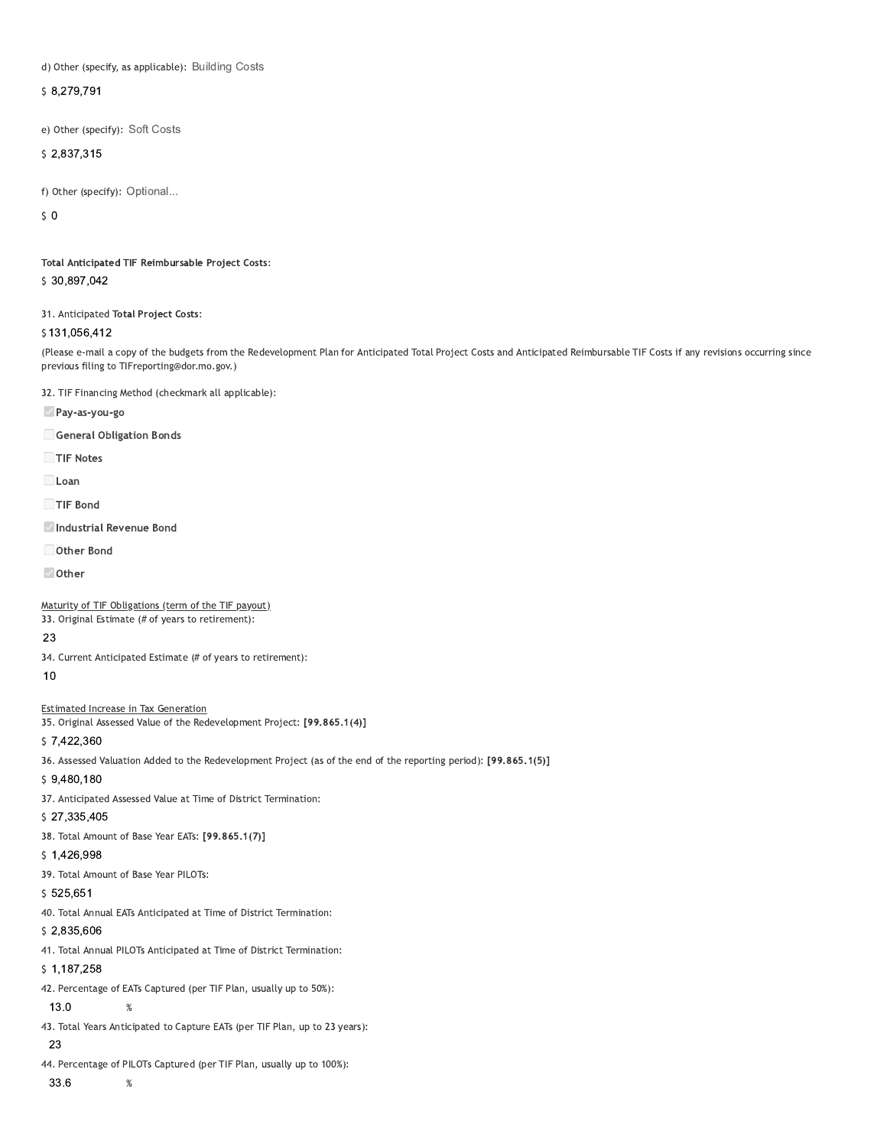d) Other (specify, as applicable): Building Costs

\$8,279,791

e) Other (specify): Soft Costs

 $$2,837,315$ 

```
f) Other (specify): Optional...
```
 $\sqrt{5}$  O

Total Anticipated TIF Reimbursable Project Costs: \$30,897,042

31. Anticipated Total Project Costs:

\$131,056,412

(Please e-mail a copy of the budgets from the Redevelopment Plan for Anticipated Total Project Costs and Anticipated Reimbursable TIF Costs if any revisions occurring since previous filing to TIFreporting@dor.mo.gov.)

32. TIF Financing Method (checkmark all applicable):

Pay-as-you-go

General Obligation Bonds

TIF Notes

Loan

TIF Bond

- Industrial Revenue Bond
- Other Bond
- Other

Maturity of TIF Obligations (term of the TIF payout)

33. Original Estimate (# of years to retirement):

23

34. Current Anticipated Estimate (# of years to retirement):

 $10$ 

#### **Estimated Increase in Tax Generation**

35. Original Assessed Value of the Redevelopment Project: [99.865.1(4)]

\$7,422,360

36. Assessed Valuation Added to the Redevelopment Project (as of the end of the reporting period): [99.865.1(5)]

 $$9,480,180$ 

37. Anticipated Assessed Value at Time of District Termination:

### \$27,335,405

38. Total Amount of Base Year EATs: [99.865.1(7)]

 $$1,426,998$ 

39. Total Amount of Base Year PILOTs:

 $\%$ 

 $\%$ 

 $$525,651$ 

40. Total Annual EATs Anticipated at Time of District Termination:

 $$2,835,606$ 

41. Total Annual PILOTs Anticipated at Time of District Termination:

 $$1,187,258$ 

42. Percentage of EATs Captured (per TIF Plan, usually up to 50%):

13.0

43. Total Years Anticipated to Capture EATs (per TIF Plan, up to 23 years):

23

44. Percentage of PILOTs Captured (per TIF Plan, usually up to 100%):

33.6